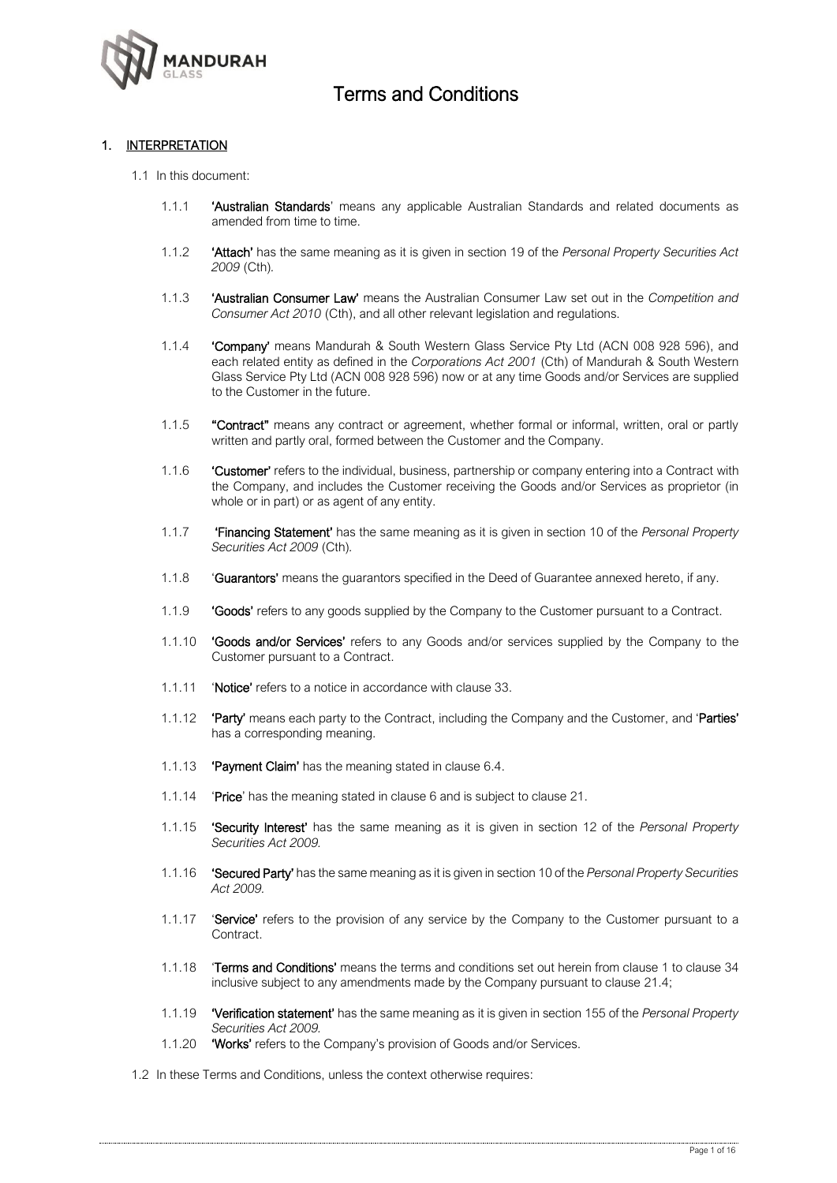

### 1. INTERPRETATION

- 1.1 In this document:
	- 1.1.1 'Australian Standards' means any applicable Australian Standards and related documents as amended from time to time.
	- 1.1.2 'Attach' has the same meaning as it is given in section 19 of the *Personal Property Securities Act 2009* (Cth)*.*
	- 1.1.3 'Australian Consumer Law' means the Australian Consumer Law set out in the *Competition and Consumer Act 2010* (Cth), and all other relevant legislation and regulations.
	- 1.1.4 'Company' means Mandurah & South Western Glass Service Pty Ltd (ACN 008 928 596), and each related entity as defined in the *Corporations Act 2001* (Cth) of Mandurah & South Western Glass Service Pty Ltd (ACN 008 928 596) now or at any time Goods and/or Services are supplied to the Customer in the future.
	- 1.1.5 "Contract" means any contract or agreement, whether formal or informal, written, oral or partly written and partly oral, formed between the Customer and the Company.
	- 1.1.6 'Customer' refers to the individual, business, partnership or company entering into a Contract with the Company, and includes the Customer receiving the Goods and/or Services as proprietor (in whole or in part) or as agent of any entity.
	- 1.1.7 'Financing Statement' has the same meaning as it is given in section 10 of the *Personal Property Securities Act 2009* (Cth)*.*
	- 1.1.8 'Guarantors' means the guarantors specified in the Deed of Guarantee annexed hereto, if any.
	- 1.1.9 **'Goods'** refers to any goods supplied by the Company to the Customer pursuant to a Contract.
	- 1.1.10 **'Goods and/or Services'** refers to any Goods and/or services supplied by the Company to the Customer pursuant to a Contract.
	- 1.1.11 'Notice' refers to a notice in accordance with clause 33.
	- 1.1.12 'Party' means each party to the Contract, including the Company and the Customer, and 'Parties' has a corresponding meaning.
	- 1.1.13 **'Payment Claim'** has the meaning stated in clause 6.4.
	- 1.1.14 **'Price'** has the meaning stated in clause 6 and is subject to clause 21.
	- 1.1.15 'Security Interest' has the same meaning as it is given in section 12 of the *Personal Property Securities Act 2009.*
	- 1.1.16 'Secured Party' has the same meaning as it is given in section 10 of the *Personal Property Securities Act 2009.*
	- 1.1.17 **'Service'** refers to the provision of any service by the Company to the Customer pursuant to a Contract
	- 1.1.18 **Terms and Conditions'** means the terms and conditions set out herein from clause 1 to clause 34 inclusive subject to any amendments made by the Company pursuant to clause 21.4;
	- 1.1.19 'Verification statement' has the same meaning as it is given in section 155 of the *Personal Property Securities Act 2009.*
	- 1.1.20 **'Works'** refers to the Company's provision of Goods and/or Services.
- 1.2 In these Terms and Conditions, unless the context otherwise requires: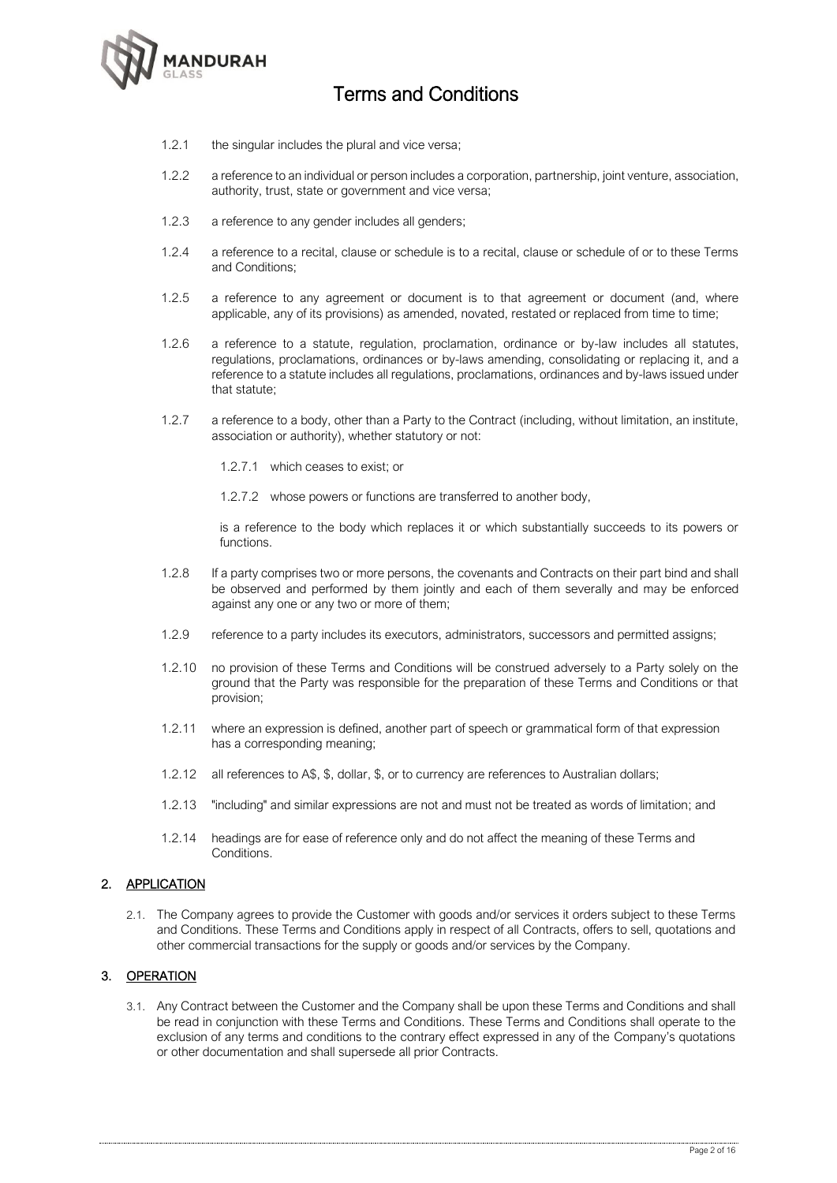

- 1.2.1 the singular includes the plural and vice versa;
- 1.2.2 a reference to an individual or person includes a corporation, partnership, joint venture, association, authority, trust, state or government and vice versa;
- 1.2.3 a reference to any gender includes all genders;
- 1.2.4 a reference to a recital, clause or schedule is to a recital, clause or schedule of or to these Terms and Conditions;
- 1.2.5 a reference to any agreement or document is to that agreement or document (and, where applicable, any of its provisions) as amended, novated, restated or replaced from time to time;
- 1.2.6 a reference to a statute, regulation, proclamation, ordinance or by-law includes all statutes, regulations, proclamations, ordinances or by-laws amending, consolidating or replacing it, and a reference to a statute includes all regulations, proclamations, ordinances and by-laws issued under that statute;
- 1.2.7 a reference to a body, other than a Party to the Contract (including, without limitation, an institute, association or authority), whether statutory or not:
	- 1.2.7.1 which ceases to exist; or
	- 1.2.7.2 whose powers or functions are transferred to another body,

is a reference to the body which replaces it or which substantially succeeds to its powers or functions.

- 1.2.8 If a party comprises two or more persons, the covenants and Contracts on their part bind and shall be observed and performed by them jointly and each of them severally and may be enforced against any one or any two or more of them;
- 1.2.9 reference to a party includes its executors, administrators, successors and permitted assigns;
- 1.2.10 no provision of these Terms and Conditions will be construed adversely to a Party solely on the ground that the Party was responsible for the preparation of these Terms and Conditions or that provision;
- 1.2.11 where an expression is defined, another part of speech or grammatical form of that expression has a corresponding meaning;
- 1.2.12 all references to A\$, \$, dollar, \$, or to currency are references to Australian dollars;
- 1.2.13 "including" and similar expressions are not and must not be treated as words of limitation; and
- 1.2.14 headings are for ease of reference only and do not affect the meaning of these Terms and Conditions.

### 2. APPLICATION

2.1. The Company agrees to provide the Customer with goods and/or services it orders subject to these Terms and Conditions. These Terms and Conditions apply in respect of all Contracts, offers to sell, quotations and other commercial transactions for the supply or goods and/or services by the Company.

### 3. OPERATION

3.1. Any Contract between the Customer and the Company shall be upon these Terms and Conditions and shall be read in conjunction with these Terms and Conditions. These Terms and Conditions shall operate to the exclusion of any terms and conditions to the contrary effect expressed in any of the Company's quotations or other documentation and shall supersede all prior Contracts.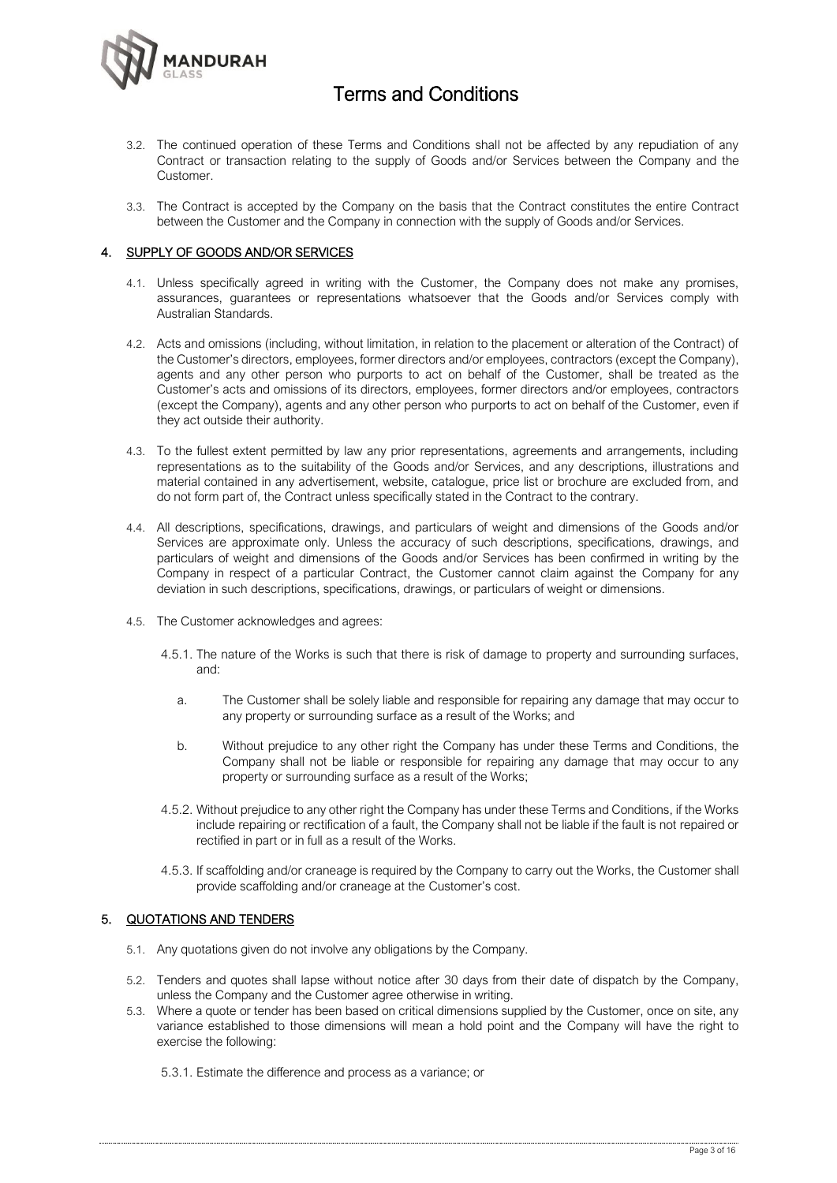

- 3.2. The continued operation of these Terms and Conditions shall not be affected by any repudiation of any Contract or transaction relating to the supply of Goods and/or Services between the Company and the Customer.
- 3.3. The Contract is accepted by the Company on the basis that the Contract constitutes the entire Contract between the Customer and the Company in connection with the supply of Goods and/or Services.

### 4. SUPPLY OF GOODS AND/OR SERVICES

- 4.1. Unless specifically agreed in writing with the Customer, the Company does not make any promises, assurances, guarantees or representations whatsoever that the Goods and/or Services comply with Australian Standards.
- 4.2. Acts and omissions (including, without limitation, in relation to the placement or alteration of the Contract) of the Customer's directors, employees, former directors and/or employees, contractors (except the Company), agents and any other person who purports to act on behalf of the Customer, shall be treated as the Customer's acts and omissions of its directors, employees, former directors and/or employees, contractors (except the Company), agents and any other person who purports to act on behalf of the Customer, even if they act outside their authority.
- 4.3. To the fullest extent permitted by law any prior representations, agreements and arrangements, including representations as to the suitability of the Goods and/or Services, and any descriptions, illustrations and material contained in any advertisement, website, catalogue, price list or brochure are excluded from, and do not form part of, the Contract unless specifically stated in the Contract to the contrary.
- 4.4. All descriptions, specifications, drawings, and particulars of weight and dimensions of the Goods and/or Services are approximate only. Unless the accuracy of such descriptions, specifications, drawings, and particulars of weight and dimensions of the Goods and/or Services has been confirmed in writing by the Company in respect of a particular Contract, the Customer cannot claim against the Company for any deviation in such descriptions, specifications, drawings, or particulars of weight or dimensions.
- 4.5. The Customer acknowledges and agrees:
	- 4.5.1. The nature of the Works is such that there is risk of damage to property and surrounding surfaces, and:
		- a. The Customer shall be solely liable and responsible for repairing any damage that may occur to any property or surrounding surface as a result of the Works; and
		- b. Without prejudice to any other right the Company has under these Terms and Conditions, the Company shall not be liable or responsible for repairing any damage that may occur to any property or surrounding surface as a result of the Works;
	- 4.5.2. Without prejudice to any other right the Company has under these Terms and Conditions, if the Works include repairing or rectification of a fault, the Company shall not be liable if the fault is not repaired or rectified in part or in full as a result of the Works.
	- 4.5.3. If scaffolding and/or craneage is required by the Company to carry out the Works, the Customer shall provide scaffolding and/or craneage at the Customer's cost.

### 5. QUOTATIONS AND TENDERS

- 5.1. Any quotations given do not involve any obligations by the Company.
- 5.2. Tenders and quotes shall lapse without notice after 30 days from their date of dispatch by the Company, unless the Company and the Customer agree otherwise in writing.
- 5.3. Where a quote or tender has been based on critical dimensions supplied by the Customer, once on site, any variance established to those dimensions will mean a hold point and the Company will have the right to exercise the following:
	- 5.3.1. Estimate the difference and process as a variance; or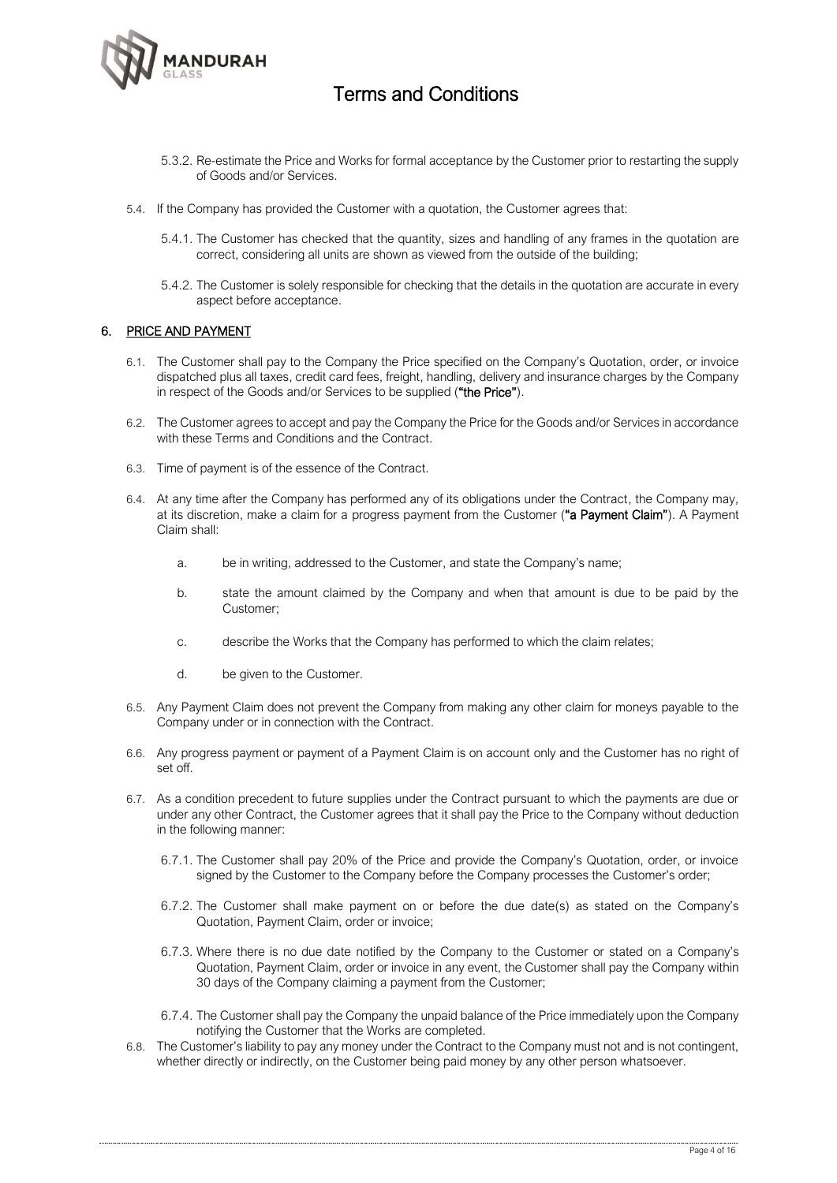

- 5.3.2. Re-estimate the Price and Works for formal acceptance by the Customer prior to restarting the supply of Goods and/or Services.
- 5.4. If the Company has provided the Customer with a quotation, the Customer agrees that:
	- 5.4.1. The Customer has checked that the quantity, sizes and handling of any frames in the quotation are correct, considering all units are shown as viewed from the outside of the building;
	- 5.4.2. The Customer is solely responsible for checking that the details in the quotation are accurate in every aspect before acceptance.

#### 6. PRICE AND PAYMENT

- 6.1. The Customer shall pay to the Company the Price specified on the Company's Quotation, order, or invoice dispatched plus all taxes, credit card fees, freight, handling, delivery and insurance charges by the Company in respect of the Goods and/or Services to be supplied ("the Price").
- 6.2. The Customer agrees to accept and pay the Company the Price for the Goods and/or Services in accordance with these Terms and Conditions and the Contract.
- 6.3. Time of payment is of the essence of the Contract.
- 6.4. At any time after the Company has performed any of its obligations under the Contract, the Company may, at its discretion, make a claim for a progress payment from the Customer ("a Payment Claim"). A Payment Claim shall:
	- a. be in writing, addressed to the Customer, and state the Company's name;
	- b. state the amount claimed by the Company and when that amount is due to be paid by the Customer;
	- c. describe the Works that the Company has performed to which the claim relates;
	- d. be given to the Customer.
- 6.5. Any Payment Claim does not prevent the Company from making any other claim for moneys payable to the Company under or in connection with the Contract.
- 6.6. Any progress payment or payment of a Payment Claim is on account only and the Customer has no right of set off.
- 6.7. As a condition precedent to future supplies under the Contract pursuant to which the payments are due or under any other Contract, the Customer agrees that it shall pay the Price to the Company without deduction in the following manner:
	- 6.7.1. The Customer shall pay 20% of the Price and provide the Company's Quotation, order, or invoice signed by the Customer to the Company before the Company processes the Customer's order;
	- 6.7.2. The Customer shall make payment on or before the due date(s) as stated on the Company's Quotation, Payment Claim, order or invoice;
	- 6.7.3. Where there is no due date notified by the Company to the Customer or stated on a Company's Quotation, Payment Claim, order or invoice in any event, the Customer shall pay the Company within 30 days of the Company claiming a payment from the Customer;
	- 6.7.4. The Customer shall pay the Company the unpaid balance of the Price immediately upon the Company notifying the Customer that the Works are completed.
- 6.8. The Customer's liability to pay any money under the Contract to the Company must not and is not contingent, whether directly or indirectly, on the Customer being paid money by any other person whatsoever.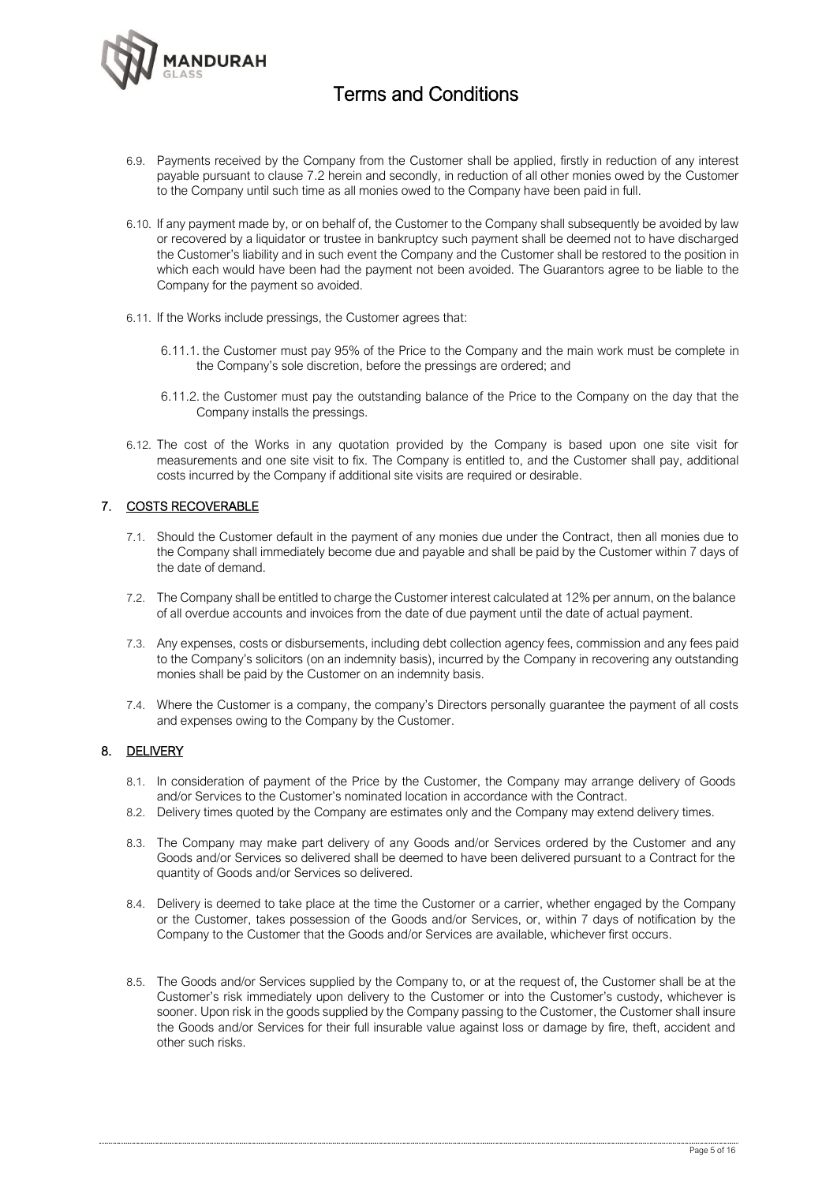

- 6.9. Payments received by the Company from the Customer shall be applied, firstly in reduction of any interest payable pursuant to clause 7.2 herein and secondly, in reduction of all other monies owed by the Customer to the Company until such time as all monies owed to the Company have been paid in full.
- 6.10. If any payment made by, or on behalf of, the Customer to the Company shall subsequently be avoided by law or recovered by a liquidator or trustee in bankruptcy such payment shall be deemed not to have discharged the Customer's liability and in such event the Company and the Customer shall be restored to the position in which each would have been had the payment not been avoided. The Guarantors agree to be liable to the Company for the payment so avoided.
- 6.11. If the Works include pressings, the Customer agrees that:
	- 6.11.1. the Customer must pay 95% of the Price to the Company and the main work must be complete in the Company's sole discretion, before the pressings are ordered; and
	- 6.11.2. the Customer must pay the outstanding balance of the Price to the Company on the day that the Company installs the pressings.
- 6.12. The cost of the Works in any quotation provided by the Company is based upon one site visit for measurements and one site visit to fix. The Company is entitled to, and the Customer shall pay, additional costs incurred by the Company if additional site visits are required or desirable.

### 7. COSTS RECOVERABLE

- 7.1. Should the Customer default in the payment of any monies due under the Contract, then all monies due to the Company shall immediately become due and payable and shall be paid by the Customer within 7 days of the date of demand.
- 7.2. The Company shall be entitled to charge the Customer interest calculated at 12% per annum, on the balance of all overdue accounts and invoices from the date of due payment until the date of actual payment.
- 7.3. Any expenses, costs or disbursements, including debt collection agency fees, commission and any fees paid to the Company's solicitors (on an indemnity basis), incurred by the Company in recovering any outstanding monies shall be paid by the Customer on an indemnity basis.
- 7.4. Where the Customer is a company, the company's Directors personally guarantee the payment of all costs and expenses owing to the Company by the Customer.

### 8. DELIVERY

- 8.1. In consideration of payment of the Price by the Customer, the Company may arrange delivery of Goods and/or Services to the Customer's nominated location in accordance with the Contract.
- 8.2. Delivery times quoted by the Company are estimates only and the Company may extend delivery times.
- 8.3. The Company may make part delivery of any Goods and/or Services ordered by the Customer and any Goods and/or Services so delivered shall be deemed to have been delivered pursuant to a Contract for the quantity of Goods and/or Services so delivered.
- 8.4. Delivery is deemed to take place at the time the Customer or a carrier, whether engaged by the Company or the Customer, takes possession of the Goods and/or Services, or, within 7 days of notification by the Company to the Customer that the Goods and/or Services are available, whichever first occurs.
- 8.5. The Goods and/or Services supplied by the Company to, or at the request of, the Customer shall be at the Customer's risk immediately upon delivery to the Customer or into the Customer's custody, whichever is sooner. Upon risk in the goods supplied by the Company passing to the Customer, the Customer shall insure the Goods and/or Services for their full insurable value against loss or damage by fire, theft, accident and other such risks.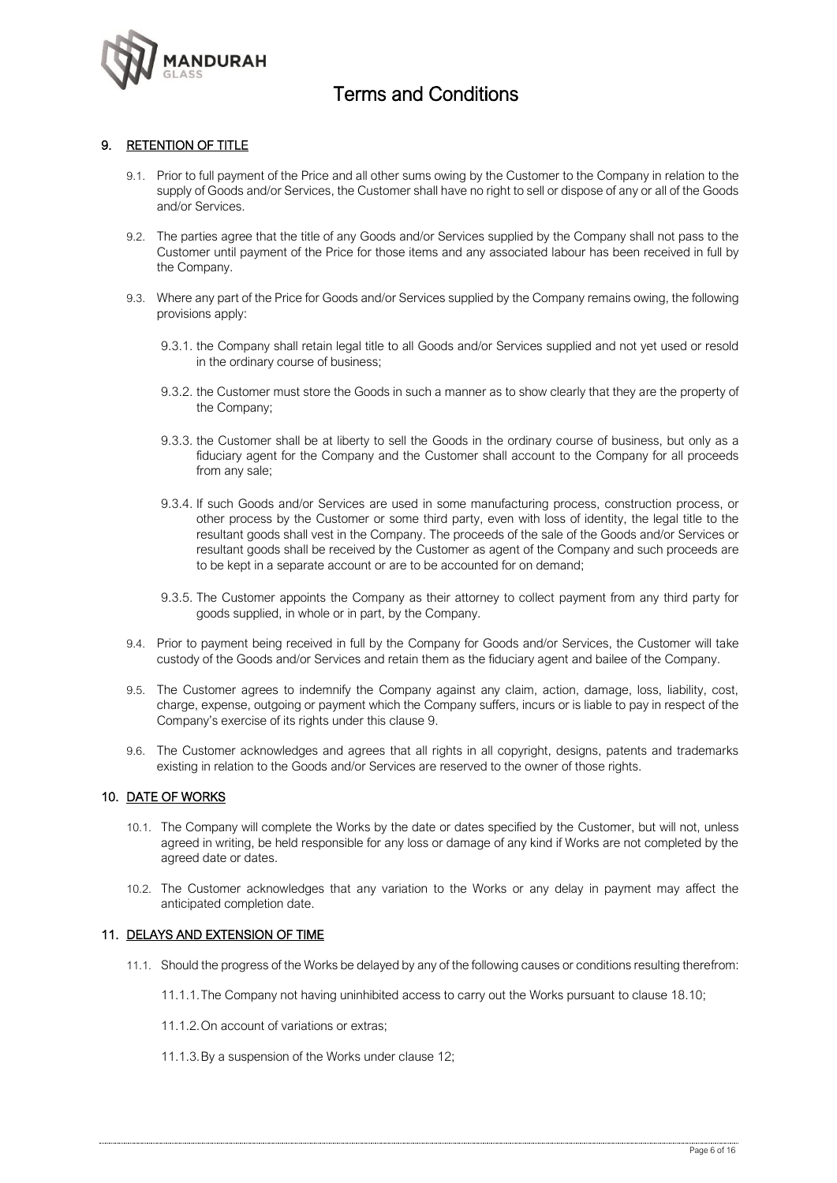

### 9. RETENTION OF TITLE

- 9.1. Prior to full payment of the Price and all other sums owing by the Customer to the Company in relation to the supply of Goods and/or Services, the Customer shall have no right to sell or dispose of any or all of the Goods and/or Services.
- 9.2. The parties agree that the title of any Goods and/or Services supplied by the Company shall not pass to the Customer until payment of the Price for those items and any associated labour has been received in full by the Company.
- 9.3. Where any part of the Price for Goods and/or Services supplied by the Company remains owing, the following provisions apply:
	- 9.3.1. the Company shall retain legal title to all Goods and/or Services supplied and not yet used or resold in the ordinary course of business;
	- 9.3.2. the Customer must store the Goods in such a manner as to show clearly that they are the property of the Company;
	- 9.3.3. the Customer shall be at liberty to sell the Goods in the ordinary course of business, but only as a fiduciary agent for the Company and the Customer shall account to the Company for all proceeds from any sale;
	- 9.3.4. If such Goods and/or Services are used in some manufacturing process, construction process, or other process by the Customer or some third party, even with loss of identity, the legal title to the resultant goods shall vest in the Company. The proceeds of the sale of the Goods and/or Services or resultant goods shall be received by the Customer as agent of the Company and such proceeds are to be kept in a separate account or are to be accounted for on demand;
	- 9.3.5. The Customer appoints the Company as their attorney to collect payment from any third party for goods supplied, in whole or in part, by the Company.
- 9.4. Prior to payment being received in full by the Company for Goods and/or Services, the Customer will take custody of the Goods and/or Services and retain them as the fiduciary agent and bailee of the Company.
- 9.5. The Customer agrees to indemnify the Company against any claim, action, damage, loss, liability, cost, charge, expense, outgoing or payment which the Company suffers, incurs or is liable to pay in respect of the Company's exercise of its rights under this clause 9.
- 9.6. The Customer acknowledges and agrees that all rights in all copyright, designs, patents and trademarks existing in relation to the Goods and/or Services are reserved to the owner of those rights.

### 10. DATE OF WORKS

- 10.1. The Company will complete the Works by the date or dates specified by the Customer, but will not, unless agreed in writing, be held responsible for any loss or damage of any kind if Works are not completed by the agreed date or dates.
- 10.2. The Customer acknowledges that any variation to the Works or any delay in payment may affect the anticipated completion date.

#### 11. DELAYS AND EXTENSION OF TIME

- 11.1. Should the progress of the Works be delayed by any of the following causes or conditions resulting therefrom:
	- 11.1.1.The Company not having uninhibited access to carry out the Works pursuant to clause 18.10;
	- 11.1.2.On account of variations or extras;
	- 11.1.3.By a suspension of the Works under clause 12;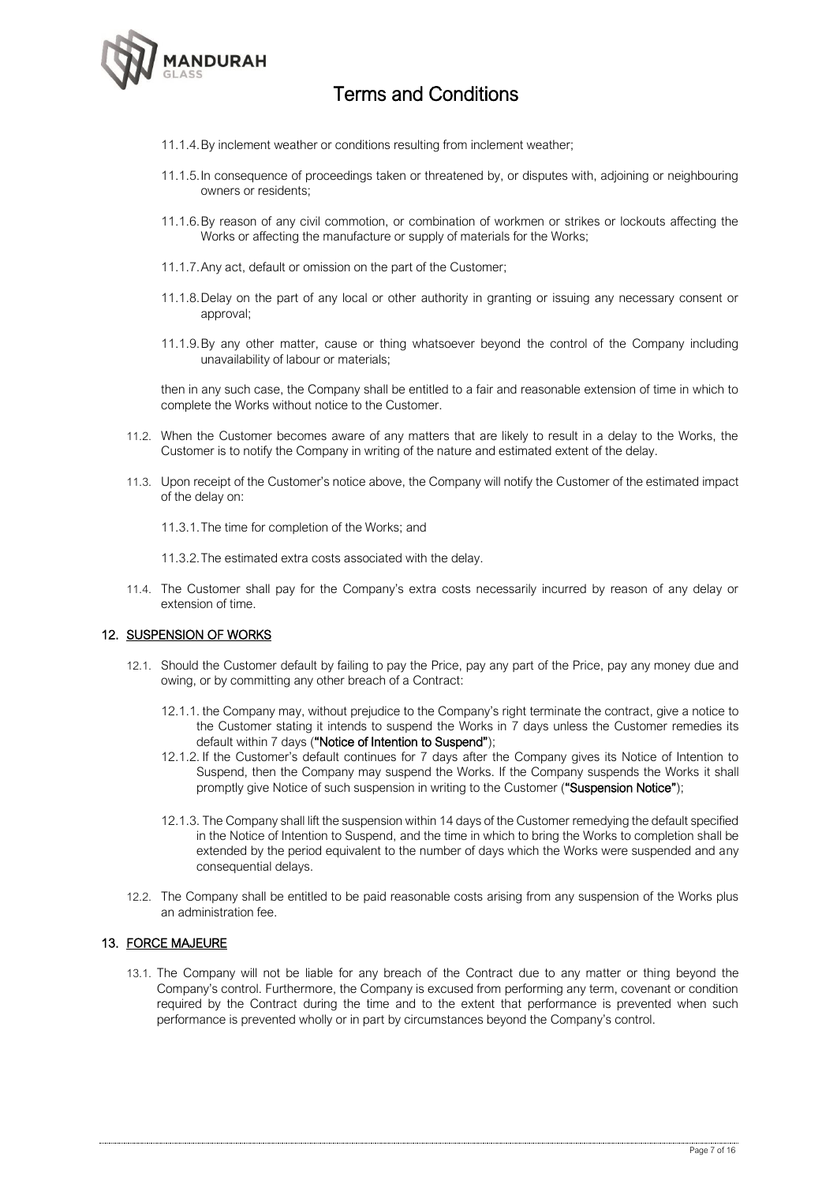

- 11.1.4.By inclement weather or conditions resulting from inclement weather;
- 11.1.5.In consequence of proceedings taken or threatened by, or disputes with, adjoining or neighbouring owners or residents;
- 11.1.6.By reason of any civil commotion, or combination of workmen or strikes or lockouts affecting the Works or affecting the manufacture or supply of materials for the Works;
- 11.1.7.Any act, default or omission on the part of the Customer;
- 11.1.8.Delay on the part of any local or other authority in granting or issuing any necessary consent or approval;
- 11.1.9.By any other matter, cause or thing whatsoever beyond the control of the Company including unavailability of labour or materials;

then in any such case, the Company shall be entitled to a fair and reasonable extension of time in which to complete the Works without notice to the Customer.

- 11.2. When the Customer becomes aware of any matters that are likely to result in a delay to the Works, the Customer is to notify the Company in writing of the nature and estimated extent of the delay.
- 11.3. Upon receipt of the Customer's notice above, the Company will notify the Customer of the estimated impact of the delay on:
	- 11.3.1.The time for completion of the Works; and
	- 11.3.2.The estimated extra costs associated with the delay.
- 11.4. The Customer shall pay for the Company's extra costs necessarily incurred by reason of any delay or extension of time.

### 12. SUSPENSION OF WORKS

- 12.1. Should the Customer default by failing to pay the Price, pay any part of the Price, pay any money due and owing, or by committing any other breach of a Contract:
	- 12.1.1. the Company may, without prejudice to the Company's right terminate the contract, give a notice to the Customer stating it intends to suspend the Works in 7 days unless the Customer remedies its default within 7 days ("Notice of Intention to Suspend");
	- 12.1.2. If the Customer's default continues for 7 days after the Company gives its Notice of Intention to Suspend, then the Company may suspend the Works. If the Company suspends the Works it shall promptly give Notice of such suspension in writing to the Customer ("Suspension Notice");
	- 12.1.3. The Company shall lift the suspension within 14 days of the Customer remedying the default specified in the Notice of Intention to Suspend, and the time in which to bring the Works to completion shall be extended by the period equivalent to the number of days which the Works were suspended and any consequential delays.
- 12.2. The Company shall be entitled to be paid reasonable costs arising from any suspension of the Works plus an administration fee.

#### 13. FORCE MAJEURE

13.1. The Company will not be liable for any breach of the Contract due to any matter or thing beyond the Company's control. Furthermore, the Company is excused from performing any term, covenant or condition required by the Contract during the time and to the extent that performance is prevented when such performance is prevented wholly or in part by circumstances beyond the Company's control.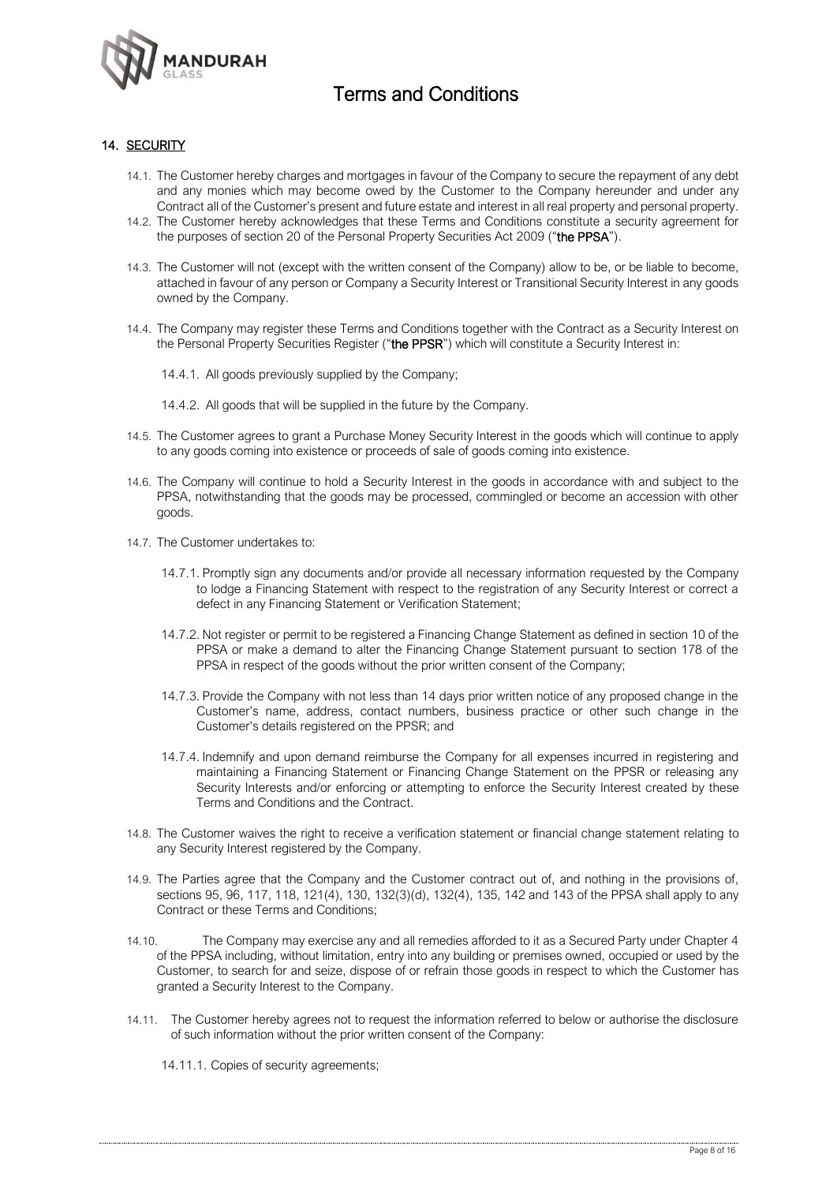

### 14. SECURITY

- 14.1. The Customer hereby charges and mortgages in favour of the Company to secure the repayment of any debt and any monies which may become owed by the Customer to the Company hereunder and under any Contract all of the Customer's present and future estate and interest in all real property and personal property.
- 14.2. The Customer hereby acknowledges that these Terms and Conditions constitute a security agreement for the purposes of section 20 of the Personal Property Securities Act 2009 ("the PPSA").
- 14.3. The Customer will not (except with the written consent of the Company) allow to be, or be liable to become, attached in favour of any person or Company a Security Interest or Transitional Security Interest in any goods owned by the Company.
- 14.4. The Company may register these Terms and Conditions together with the Contract as a Security Interest on the Personal Property Securities Register ("the PPSR") which will constitute a Security Interest in:
	- 14.4.1. All goods previously supplied by the Company;
	- 14.4.2. All goods that will be supplied in the future by the Company.
- 14.5. The Customer agrees to grant a Purchase Money Security Interest in the goods which will continue to apply to any goods coming into existence or proceeds of sale of goods coming into existence.
- 14.6. The Company will continue to hold a Security Interest in the goods in accordance with and subject to the PPSA, notwithstanding that the goods may be processed, commingled or become an accession with other goods.
- 14.7. The Customer undertakes to:
	- 14.7.1. Promptly sign any documents and/or provide all necessary information requested by the Company to lodge a Financing Statement with respect to the registration of any Security Interest or correct a defect in any Financing Statement or Verification Statement;
	- 14.7.2. Not register or permit to be registered a Financing Change Statement as defined in section 10 of the PPSA or make a demand to alter the Financing Change Statement pursuant to section 178 of the PPSA in respect of the goods without the prior written consent of the Company;
	- 14.7.3. Provide the Company with not less than 14 days prior written notice of any proposed change in the Customer's name, address, contact numbers, business practice or other such change in the Customer's details registered on the PPSR; and
	- 14.7.4. Indemnify and upon demand reimburse the Company for all expenses incurred in registering and maintaining a Financing Statement or Financing Change Statement on the PPSR or releasing any Security Interests and/or enforcing or attempting to enforce the Security Interest created by these Terms and Conditions and the Contract.
- 14.8. The Customer waives the right to receive a verification statement or financial change statement relating to any Security Interest registered by the Company.
- 14.9. The Parties agree that the Company and the Customer contract out of, and nothing in the provisions of, sections 95, 96, 117, 118, 121(4), 130, 132(3)(d), 132(4), 135, 142 and 143 of the PPSA shall apply to any Contract or these Terms and Conditions;
- 14.10. The Company may exercise any and all remedies afforded to it as a Secured Party under Chapter 4 of the PPSA including, without limitation, entry into any building or premises owned, occupied or used by the Customer, to search for and seize, dispose of or refrain those goods in respect to which the Customer has granted a Security Interest to the Company.
- 14.11. The Customer hereby agrees not to request the information referred to below or authorise the disclosure of such information without the prior written consent of the Company:
	- 14.11.1. Copies of security agreements;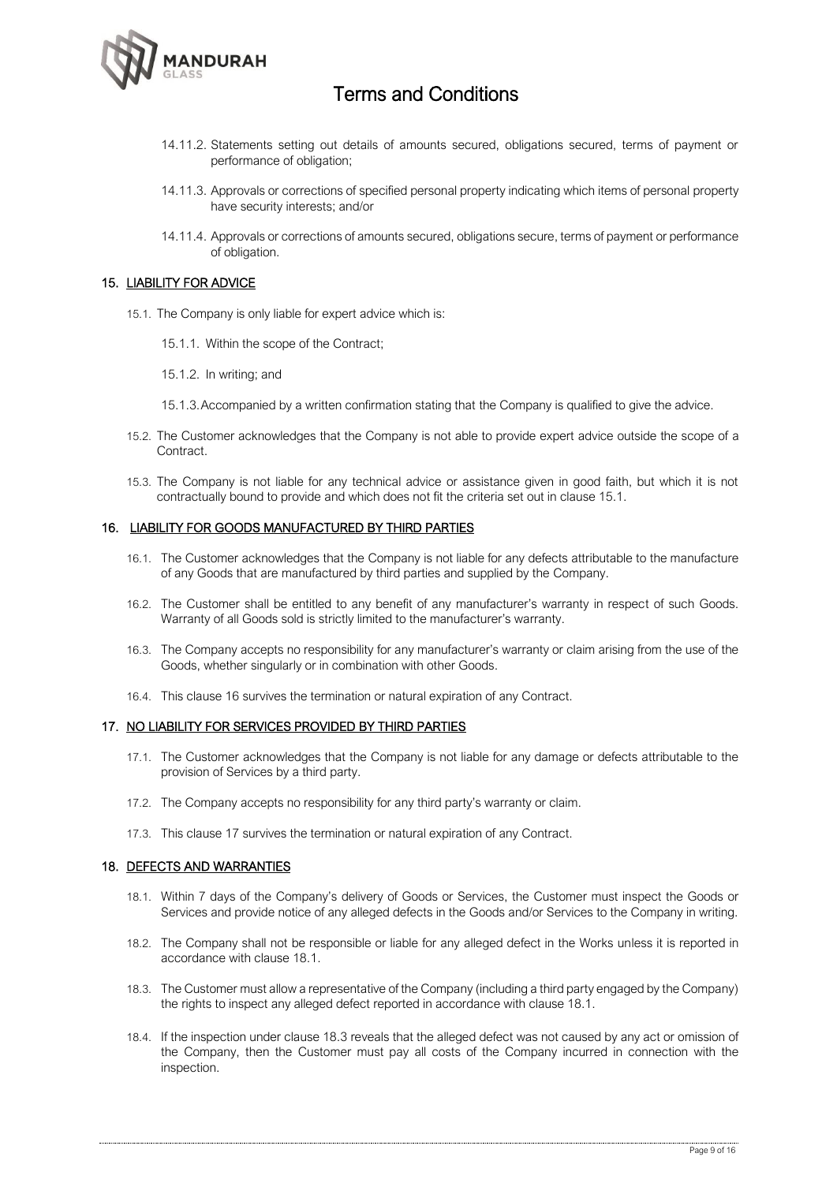

- 14.11.2. Statements setting out details of amounts secured, obligations secured, terms of payment or performance of obligation;
- 14.11.3. Approvals or corrections of specified personal property indicating which items of personal property have security interests; and/or
- 14.11.4. Approvals or corrections of amounts secured, obligations secure, terms of payment or performance of obligation.

#### 15. LIABILITY FOR ADVICE

- 15.1. The Company is only liable for expert advice which is:
	- 15.1.1. Within the scope of the Contract;
	- 15.1.2. In writing; and
	- 15.1.3.Accompanied by a written confirmation stating that the Company is qualified to give the advice.
- 15.2. The Customer acknowledges that the Company is not able to provide expert advice outside the scope of a Contract.
- 15.3. The Company is not liable for any technical advice or assistance given in good faith, but which it is not contractually bound to provide and which does not fit the criteria set out in clause 15.1.

#### 16. LIABILITY FOR GOODS MANUFACTURED BY THIRD PARTIES

- 16.1. The Customer acknowledges that the Company is not liable for any defects attributable to the manufacture of any Goods that are manufactured by third parties and supplied by the Company.
- 16.2. The Customer shall be entitled to any benefit of any manufacturer's warranty in respect of such Goods. Warranty of all Goods sold is strictly limited to the manufacturer's warranty.
- 16.3. The Company accepts no responsibility for any manufacturer's warranty or claim arising from the use of the Goods, whether singularly or in combination with other Goods.
- 16.4. This clause 16 survives the termination or natural expiration of any Contract.

#### 17. NO LIABILITY FOR SERVICES PROVIDED BY THIRD PARTIES

- 17.1. The Customer acknowledges that the Company is not liable for any damage or defects attributable to the provision of Services by a third party.
- 17.2. The Company accepts no responsibility for any third party's warranty or claim.
- 17.3. This clause 17 survives the termination or natural expiration of any Contract.

#### 18. DEFECTS AND WARRANTIES

- 18.1. Within 7 days of the Company's delivery of Goods or Services, the Customer must inspect the Goods or Services and provide notice of any alleged defects in the Goods and/or Services to the Company in writing.
- 18.2. The Company shall not be responsible or liable for any alleged defect in the Works unless it is reported in accordance with clause 18.1.
- 18.3. The Customer must allow a representative of the Company (including a third party engaged by the Company) the rights to inspect any alleged defect reported in accordance with clause 18.1.
- 18.4. If the inspection under clause 18.3 reveals that the alleged defect was not caused by any act or omission of the Company, then the Customer must pay all costs of the Company incurred in connection with the inspection.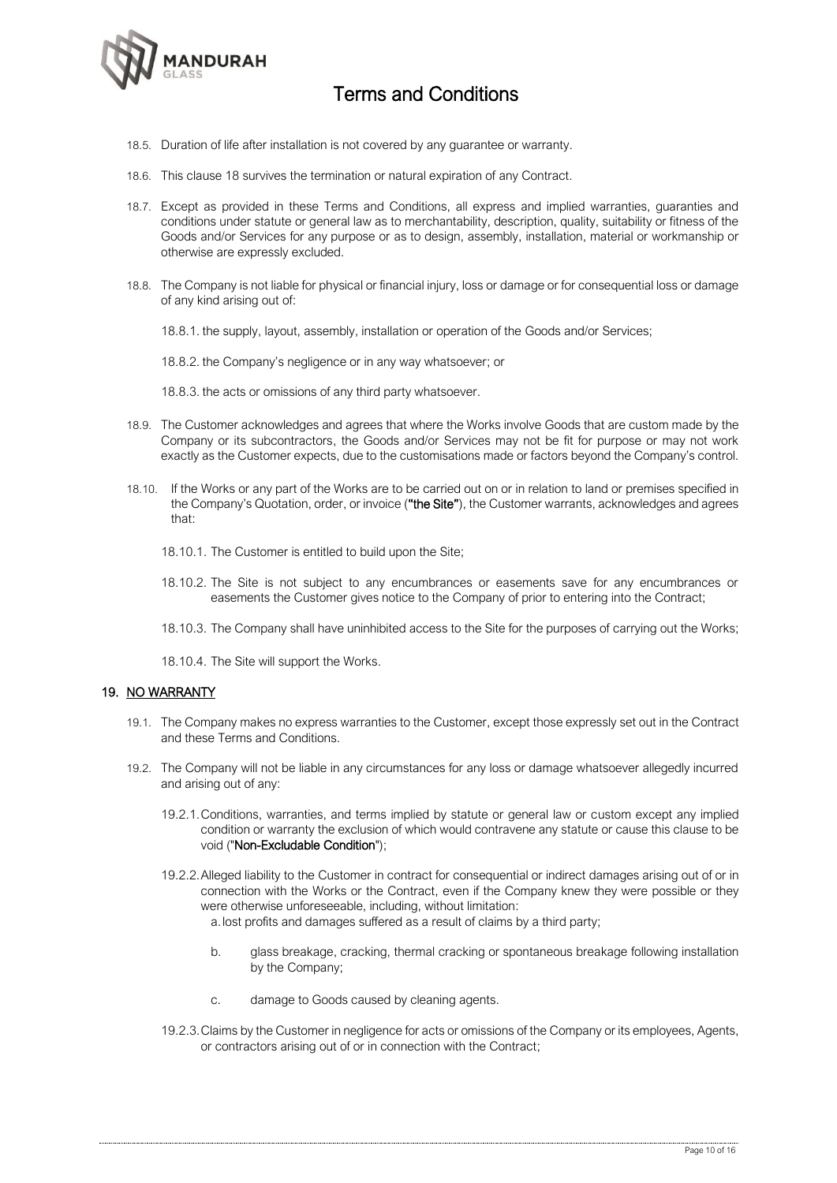

- 18.5. Duration of life after installation is not covered by any guarantee or warranty.
- 18.6. This clause 18 survives the termination or natural expiration of any Contract.
- 18.7. Except as provided in these Terms and Conditions, all express and implied warranties, guaranties and conditions under statute or general law as to merchantability, description, quality, suitability or fitness of the Goods and/or Services for any purpose or as to design, assembly, installation, material or workmanship or otherwise are expressly excluded.
- 18.8. The Company is not liable for physical or financial injury, loss or damage or for consequential loss or damage of any kind arising out of:
	- 18.8.1. the supply, layout, assembly, installation or operation of the Goods and/or Services;

18.8.2. the Company's negligence or in any way whatsoever; or

- 18.8.3. the acts or omissions of any third party whatsoever.
- 18.9. The Customer acknowledges and agrees that where the Works involve Goods that are custom made by the Company or its subcontractors, the Goods and/or Services may not be fit for purpose or may not work exactly as the Customer expects, due to the customisations made or factors beyond the Company's control.
- 18.10. If the Works or any part of the Works are to be carried out on or in relation to land or premises specified in the Company's Quotation, order, or invoice ("the Site"), the Customer warrants, acknowledges and agrees that:
	- 18.10.1. The Customer is entitled to build upon the Site;
	- 18.10.2. The Site is not subject to any encumbrances or easements save for any encumbrances or easements the Customer gives notice to the Company of prior to entering into the Contract;
	- 18.10.3. The Company shall have uninhibited access to the Site for the purposes of carrying out the Works;
	- 18.10.4. The Site will support the Works.

### 19. NO WARRANTY

- 19.1. The Company makes no express warranties to the Customer, except those expressly set out in the Contract and these Terms and Conditions.
- 19.2. The Company will not be liable in any circumstances for any loss or damage whatsoever allegedly incurred and arising out of any:
	- 19.2.1.Conditions, warranties, and terms implied by statute or general law or custom except any implied condition or warranty the exclusion of which would contravene any statute or cause this clause to be void ("Non-Excludable Condition");
	- 19.2.2.Alleged liability to the Customer in contract for consequential or indirect damages arising out of or in connection with the Works or the Contract, even if the Company knew they were possible or they were otherwise unforeseeable, including, without limitation: a.lost profits and damages suffered as a result of claims by a third party;
		- b. glass breakage, cracking, thermal cracking or spontaneous breakage following installation by the Company;
		- c. damage to Goods caused by cleaning agents.
	- 19.2.3.Claims by the Customer in negligence for acts or omissions of the Company or its employees, Agents, or contractors arising out of or in connection with the Contract;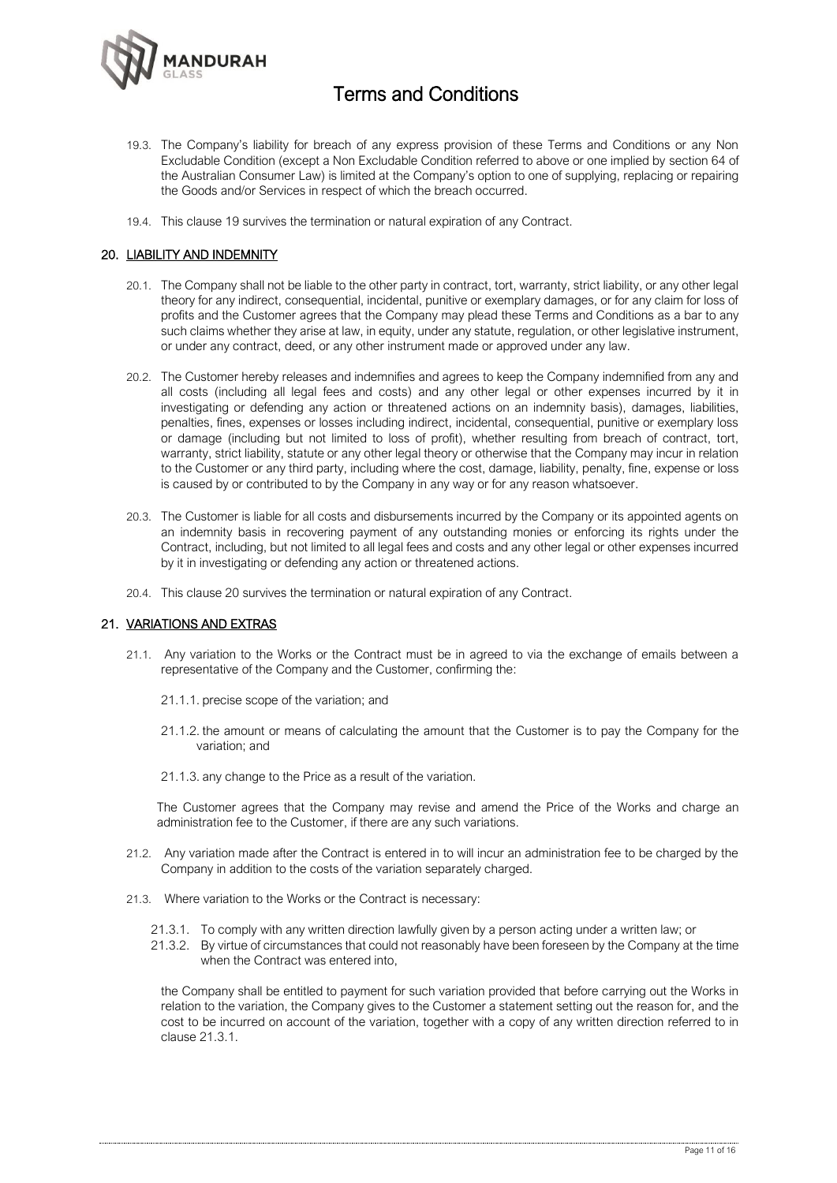

- 19.3. The Company's liability for breach of any express provision of these Terms and Conditions or any Non Excludable Condition (except a Non Excludable Condition referred to above or one implied by section 64 of the Australian Consumer Law) is limited at the Company's option to one of supplying, replacing or repairing the Goods and/or Services in respect of which the breach occurred.
- 19.4. This clause 19 survives the termination or natural expiration of any Contract.

### 20. LIABILITY AND INDEMNITY

- 20.1. The Company shall not be liable to the other party in contract, tort, warranty, strict liability, or any other legal theory for any indirect, consequential, incidental, punitive or exemplary damages, or for any claim for loss of profits and the Customer agrees that the Company may plead these Terms and Conditions as a bar to any such claims whether they arise at law, in equity, under any statute, regulation, or other legislative instrument, or under any contract, deed, or any other instrument made or approved under any law.
- 20.2. The Customer hereby releases and indemnifies and agrees to keep the Company indemnified from any and all costs (including all legal fees and costs) and any other legal or other expenses incurred by it in investigating or defending any action or threatened actions on an indemnity basis), damages, liabilities, penalties, fines, expenses or losses including indirect, incidental, consequential, punitive or exemplary loss or damage (including but not limited to loss of profit), whether resulting from breach of contract, tort, warranty, strict liability, statute or any other legal theory or otherwise that the Company may incur in relation to the Customer or any third party, including where the cost, damage, liability, penalty, fine, expense or loss is caused by or contributed to by the Company in any way or for any reason whatsoever.
- 20.3. The Customer is liable for all costs and disbursements incurred by the Company or its appointed agents on an indemnity basis in recovering payment of any outstanding monies or enforcing its rights under the Contract, including, but not limited to all legal fees and costs and any other legal or other expenses incurred by it in investigating or defending any action or threatened actions.
- 20.4. This clause 20 survives the termination or natural expiration of any Contract.

### 21. VARIATIONS AND EXTRAS

- 21.1. Any variation to the Works or the Contract must be in agreed to via the exchange of emails between a representative of the Company and the Customer, confirming the:
	- 21.1.1. precise scope of the variation; and
	- 21.1.2. the amount or means of calculating the amount that the Customer is to pay the Company for the variation; and
	- 21.1.3. any change to the Price as a result of the variation.

The Customer agrees that the Company may revise and amend the Price of the Works and charge an administration fee to the Customer, if there are any such variations.

- 21.2. Any variation made after the Contract is entered in to will incur an administration fee to be charged by the Company in addition to the costs of the variation separately charged.
- 21.3. Where variation to the Works or the Contract is necessary:
	- 21.3.1. To comply with any written direction lawfully given by a person acting under a written law; or
	- 21.3.2. By virtue of circumstances that could not reasonably have been foreseen by the Company at the time when the Contract was entered into,

the Company shall be entitled to payment for such variation provided that before carrying out the Works in relation to the variation, the Company gives to the Customer a statement setting out the reason for, and the cost to be incurred on account of the variation, together with a copy of any written direction referred to in clause 21.3.1.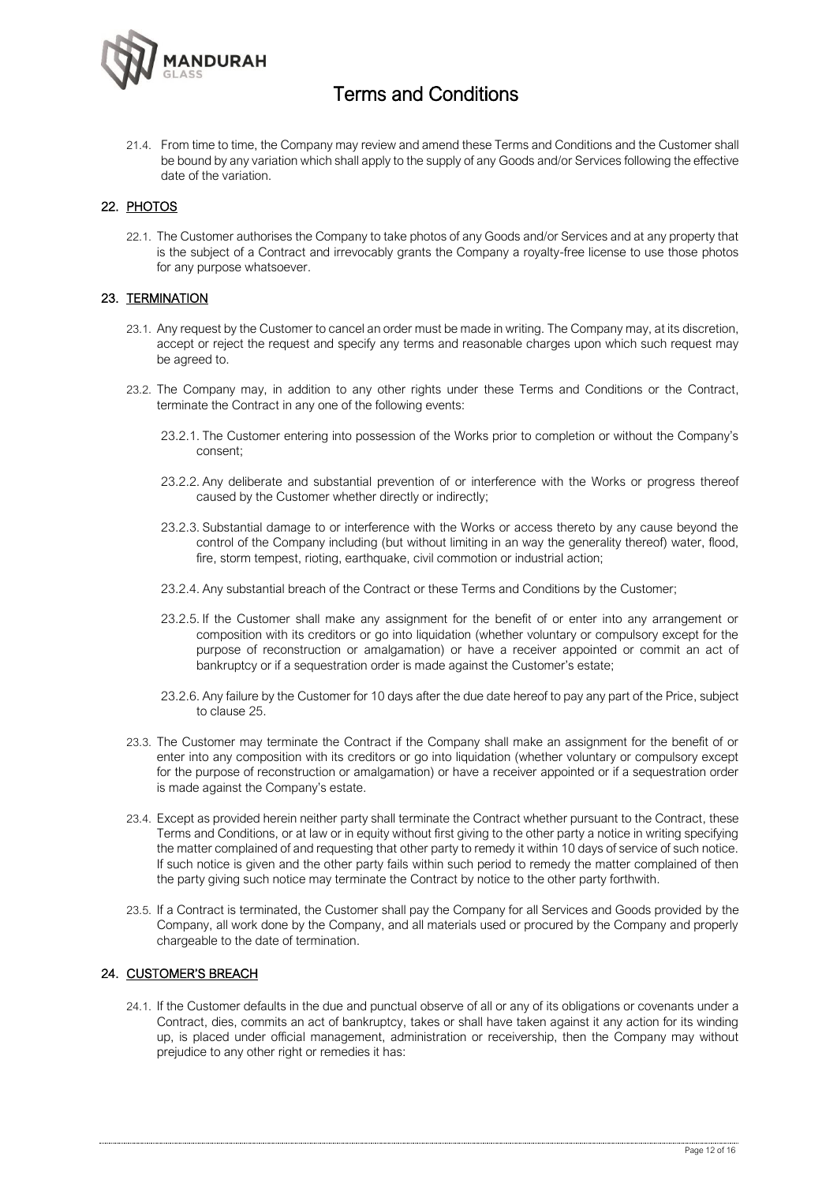

21.4. From time to time, the Company may review and amend these Terms and Conditions and the Customer shall be bound by any variation which shall apply to the supply of any Goods and/or Services following the effective date of the variation.

### 22. PHOTOS

22.1. The Customer authorises the Company to take photos of any Goods and/or Services and at any property that is the subject of a Contract and irrevocably grants the Company a royalty-free license to use those photos for any purpose whatsoever.

### 23. TERMINATION

- 23.1. Any request by the Customer to cancel an order must be made in writing. The Company may, at its discretion, accept or reject the request and specify any terms and reasonable charges upon which such request may be agreed to.
- 23.2. The Company may, in addition to any other rights under these Terms and Conditions or the Contract, terminate the Contract in any one of the following events:
	- 23.2.1. The Customer entering into possession of the Works prior to completion or without the Company's consent;
	- 23.2.2. Any deliberate and substantial prevention of or interference with the Works or progress thereof caused by the Customer whether directly or indirectly;
	- 23.2.3. Substantial damage to or interference with the Works or access thereto by any cause beyond the control of the Company including (but without limiting in an way the generality thereof) water, flood, fire, storm tempest, rioting, earthquake, civil commotion or industrial action;
	- 23.2.4. Any substantial breach of the Contract or these Terms and Conditions by the Customer;
	- 23.2.5. If the Customer shall make any assignment for the benefit of or enter into any arrangement or composition with its creditors or go into liquidation (whether voluntary or compulsory except for the purpose of reconstruction or amalgamation) or have a receiver appointed or commit an act of bankruptcy or if a sequestration order is made against the Customer's estate;
	- 23.2.6. Any failure by the Customer for 10 days after the due date hereof to pay any part of the Price, subject to clause 25.
- 23.3. The Customer may terminate the Contract if the Company shall make an assignment for the benefit of or enter into any composition with its creditors or go into liquidation (whether voluntary or compulsory except for the purpose of reconstruction or amalgamation) or have a receiver appointed or if a sequestration order is made against the Company's estate.
- 23.4. Except as provided herein neither party shall terminate the Contract whether pursuant to the Contract, these Terms and Conditions, or at law or in equity without first giving to the other party a notice in writing specifying the matter complained of and requesting that other party to remedy it within 10 days of service of such notice. If such notice is given and the other party fails within such period to remedy the matter complained of then the party giving such notice may terminate the Contract by notice to the other party forthwith.
- 23.5. If a Contract is terminated, the Customer shall pay the Company for all Services and Goods provided by the Company, all work done by the Company, and all materials used or procured by the Company and properly chargeable to the date of termination.

### 24. CUSTOMER'S BREACH

24.1. If the Customer defaults in the due and punctual observe of all or any of its obligations or covenants under a Contract, dies, commits an act of bankruptcy, takes or shall have taken against it any action for its winding up, is placed under official management, administration or receivership, then the Company may without prejudice to any other right or remedies it has: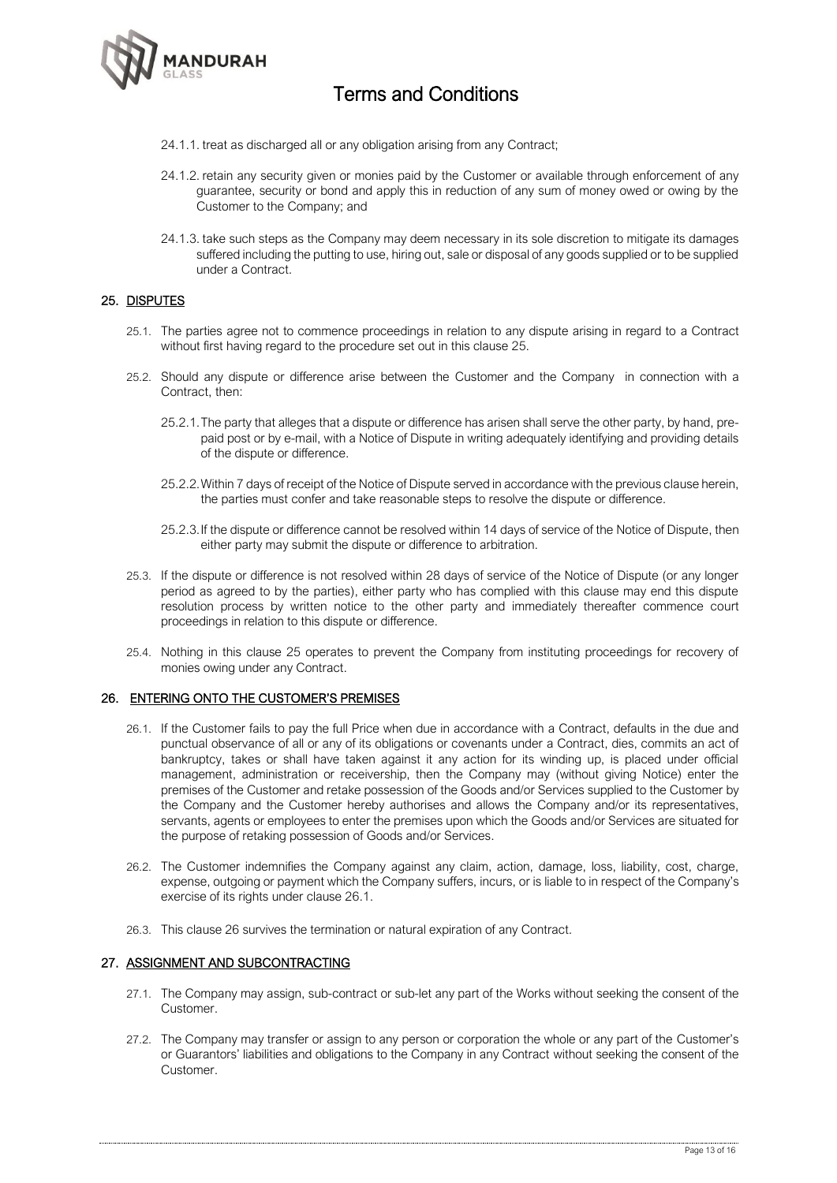

- 24.1.1. treat as discharged all or any obligation arising from any Contract;
- 24.1.2. retain any security given or monies paid by the Customer or available through enforcement of any guarantee, security or bond and apply this in reduction of any sum of money owed or owing by the Customer to the Company; and
- 24.1.3. take such steps as the Company may deem necessary in its sole discretion to mitigate its damages suffered including the putting to use, hiring out, sale or disposal of any goods supplied or to be supplied under a Contract.

#### 25. DISPUTES

- 25.1. The parties agree not to commence proceedings in relation to any dispute arising in regard to a Contract without first having regard to the procedure set out in this clause 25.
- 25.2. Should any dispute or difference arise between the Customer and the Company in connection with a Contract, then:
	- 25.2.1.The party that alleges that a dispute or difference has arisen shall serve the other party, by hand, prepaid post or by e-mail, with a Notice of Dispute in writing adequately identifying and providing details of the dispute or difference.
	- 25.2.2.Within 7 days of receipt of the Notice of Dispute served in accordance with the previous clause herein, the parties must confer and take reasonable steps to resolve the dispute or difference.
	- 25.2.3.If the dispute or difference cannot be resolved within 14 days of service of the Notice of Dispute, then either party may submit the dispute or difference to arbitration.
- 25.3. If the dispute or difference is not resolved within 28 days of service of the Notice of Dispute (or any longer period as agreed to by the parties), either party who has complied with this clause may end this dispute resolution process by written notice to the other party and immediately thereafter commence court proceedings in relation to this dispute or difference.
- 25.4. Nothing in this clause 25 operates to prevent the Company from instituting proceedings for recovery of monies owing under any Contract.

#### 26. ENTERING ONTO THE CUSTOMER'S PREMISES

- 26.1. If the Customer fails to pay the full Price when due in accordance with a Contract, defaults in the due and punctual observance of all or any of its obligations or covenants under a Contract, dies, commits an act of bankruptcy, takes or shall have taken against it any action for its winding up, is placed under official management, administration or receivership, then the Company may (without giving Notice) enter the premises of the Customer and retake possession of the Goods and/or Services supplied to the Customer by the Company and the Customer hereby authorises and allows the Company and/or its representatives, servants, agents or employees to enter the premises upon which the Goods and/or Services are situated for the purpose of retaking possession of Goods and/or Services.
- 26.2. The Customer indemnifies the Company against any claim, action, damage, loss, liability, cost, charge, expense, outgoing or payment which the Company suffers, incurs, or is liable to in respect of the Company's exercise of its rights under clause 26.1.
- 26.3. This clause 26 survives the termination or natural expiration of any Contract.

### 27. ASSIGNMENT AND SUBCONTRACTING

- 27.1. The Company may assign, sub-contract or sub-let any part of the Works without seeking the consent of the Customer.
- 27.2. The Company may transfer or assign to any person or corporation the whole or any part of the Customer's or Guarantors' liabilities and obligations to the Company in any Contract without seeking the consent of the Customer.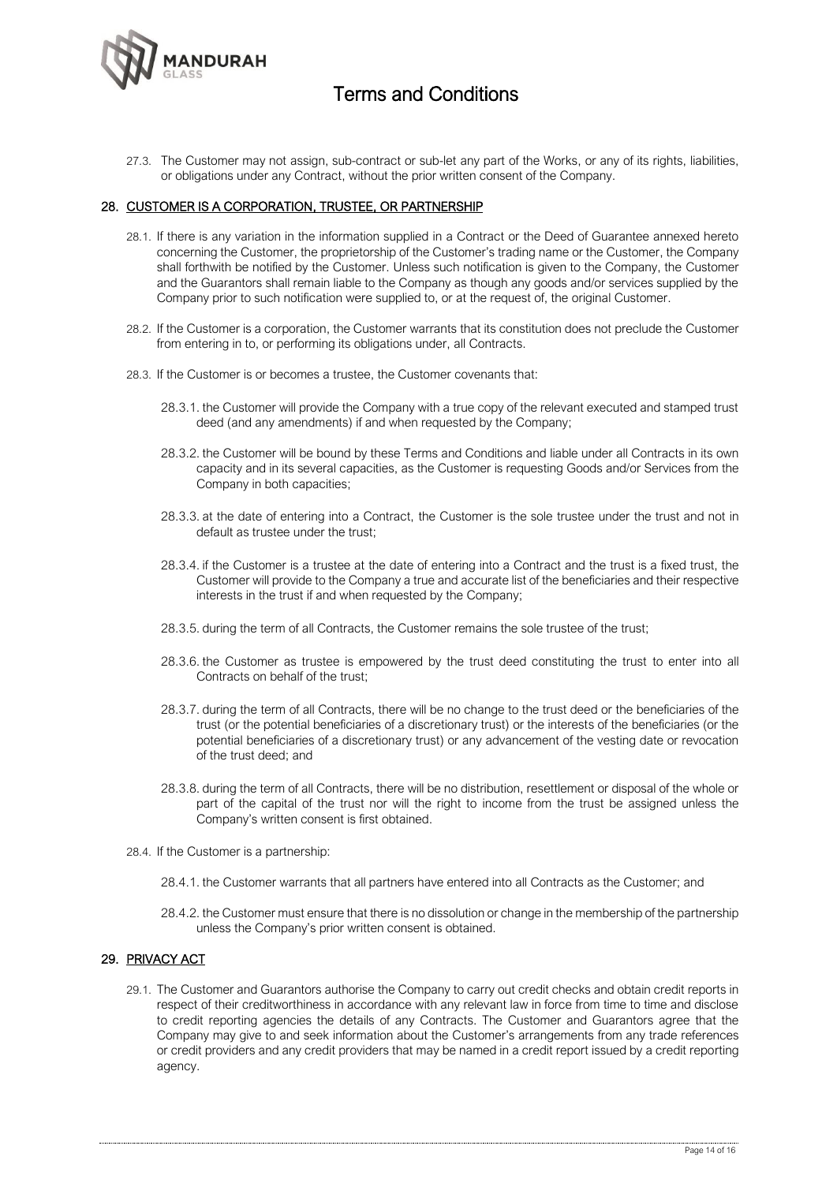

27.3. The Customer may not assign, sub-contract or sub-let any part of the Works, or any of its rights, liabilities, or obligations under any Contract, without the prior written consent of the Company.

#### 28. CUSTOMER IS A CORPORATION, TRUSTEE, OR PARTNERSHIP

- 28.1. If there is any variation in the information supplied in a Contract or the Deed of Guarantee annexed hereto concerning the Customer, the proprietorship of the Customer's trading name or the Customer, the Company shall forthwith be notified by the Customer. Unless such notification is given to the Company, the Customer and the Guarantors shall remain liable to the Company as though any goods and/or services supplied by the Company prior to such notification were supplied to, or at the request of, the original Customer.
- 28.2. If the Customer is a corporation, the Customer warrants that its constitution does not preclude the Customer from entering in to, or performing its obligations under, all Contracts.
- 28.3. If the Customer is or becomes a trustee, the Customer covenants that:
	- 28.3.1. the Customer will provide the Company with a true copy of the relevant executed and stamped trust deed (and any amendments) if and when requested by the Company;
	- 28.3.2. the Customer will be bound by these Terms and Conditions and liable under all Contracts in its own capacity and in its several capacities, as the Customer is requesting Goods and/or Services from the Company in both capacities;
	- 28.3.3. at the date of entering into a Contract, the Customer is the sole trustee under the trust and not in default as trustee under the trust;
	- 28.3.4. if the Customer is a trustee at the date of entering into a Contract and the trust is a fixed trust, the Customer will provide to the Company a true and accurate list of the beneficiaries and their respective interests in the trust if and when requested by the Company;
	- 28.3.5. during the term of all Contracts, the Customer remains the sole trustee of the trust;
	- 28.3.6. the Customer as trustee is empowered by the trust deed constituting the trust to enter into all Contracts on behalf of the trust;
	- 28.3.7. during the term of all Contracts, there will be no change to the trust deed or the beneficiaries of the trust (or the potential beneficiaries of a discretionary trust) or the interests of the beneficiaries (or the potential beneficiaries of a discretionary trust) or any advancement of the vesting date or revocation of the trust deed; and
	- 28.3.8. during the term of all Contracts, there will be no distribution, resettlement or disposal of the whole or part of the capital of the trust nor will the right to income from the trust be assigned unless the Company's written consent is first obtained.
- 28.4. If the Customer is a partnership:
	- 28.4.1. the Customer warrants that all partners have entered into all Contracts as the Customer; and
	- 28.4.2. the Customer must ensure that there is no dissolution or change in the membership of the partnership unless the Company's prior written consent is obtained.

### 29. PRIVACY ACT

29.1. The Customer and Guarantors authorise the Company to carry out credit checks and obtain credit reports in respect of their creditworthiness in accordance with any relevant law in force from time to time and disclose to credit reporting agencies the details of any Contracts. The Customer and Guarantors agree that the Company may give to and seek information about the Customer's arrangements from any trade references or credit providers and any credit providers that may be named in a credit report issued by a credit reporting agency.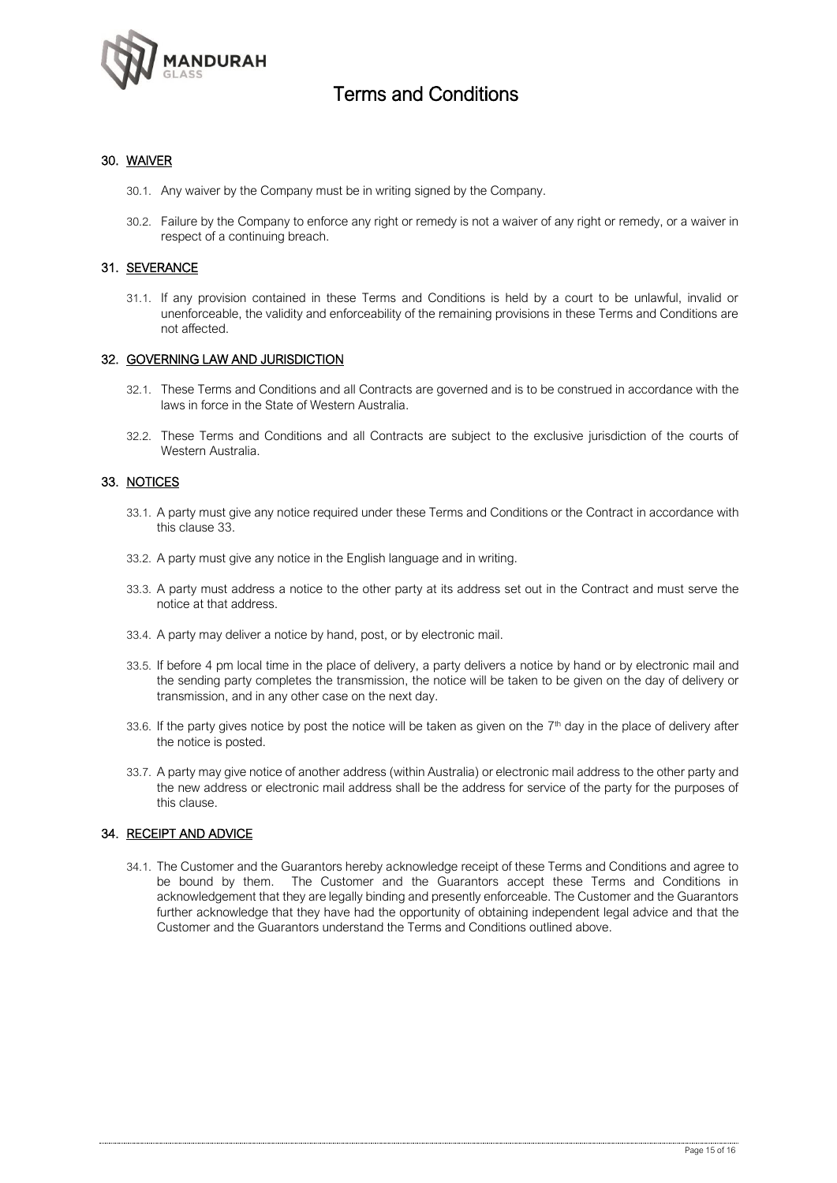

### 30. WAIVER

- 30.1. Any waiver by the Company must be in writing signed by the Company.
- 30.2. Failure by the Company to enforce any right or remedy is not a waiver of any right or remedy, or a waiver in respect of a continuing breach.

### 31. SEVERANCE

31.1. If any provision contained in these Terms and Conditions is held by a court to be unlawful, invalid or unenforceable, the validity and enforceability of the remaining provisions in these Terms and Conditions are not affected.

#### 32. GOVERNING LAW AND JURISDICTION

- 32.1. These Terms and Conditions and all Contracts are governed and is to be construed in accordance with the laws in force in the State of Western Australia.
- 32.2. These Terms and Conditions and all Contracts are subject to the exclusive jurisdiction of the courts of Western Australia.

#### 33. NOTICES

- 33.1. A party must give any notice required under these Terms and Conditions or the Contract in accordance with this clause 33.
- 33.2. A party must give any notice in the English language and in writing.
- 33.3. A party must address a notice to the other party at its address set out in the Contract and must serve the notice at that address.
- 33.4. A party may deliver a notice by hand, post, or by electronic mail.
- 33.5. If before 4 pm local time in the place of delivery, a party delivers a notice by hand or by electronic mail and the sending party completes the transmission, the notice will be taken to be given on the day of delivery or transmission, and in any other case on the next day.
- 33.6. If the party gives notice by post the notice will be taken as given on the  $7<sup>th</sup>$  day in the place of delivery after the notice is posted.
- 33.7. A party may give notice of another address (within Australia) or electronic mail address to the other party and the new address or electronic mail address shall be the address for service of the party for the purposes of this clause.

#### 34. RECEIPT AND ADVICE

34.1. The Customer and the Guarantors hereby acknowledge receipt of these Terms and Conditions and agree to be bound by them. The Customer and the Guarantors accept these Terms and Conditions in acknowledgement that they are legally binding and presently enforceable. The Customer and the Guarantors further acknowledge that they have had the opportunity of obtaining independent legal advice and that the Customer and the Guarantors understand the Terms and Conditions outlined above.